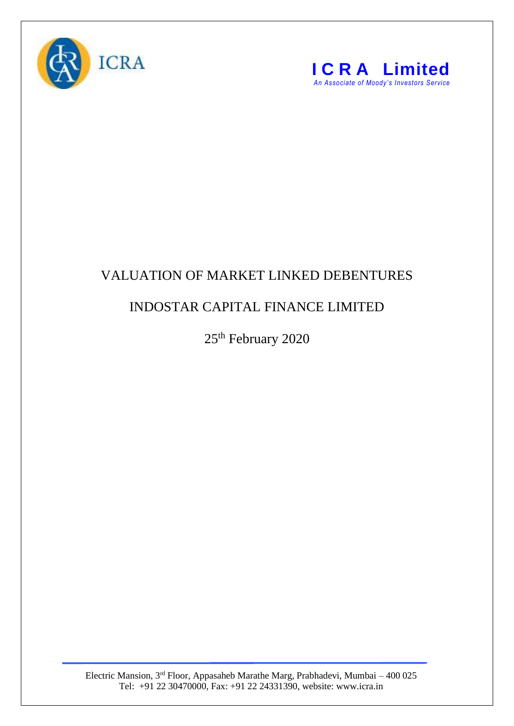



## VALUATION OF MARKET LINKED DEBENTURES

## INDOSTAR CAPITAL FINANCE LIMITED

25<sup>th</sup> February 2020